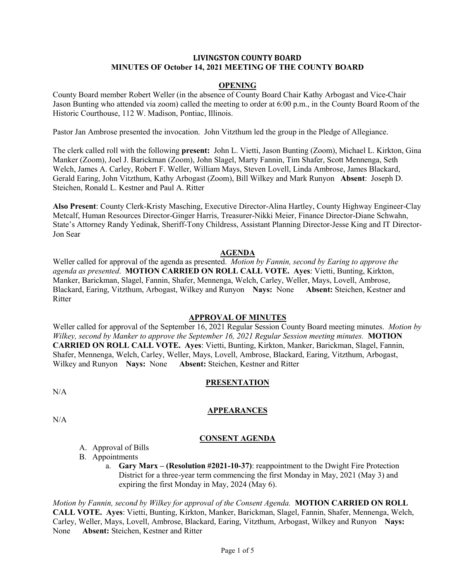#### **LIVINGSTON COUNTY BOARD MINUTES OF October 14, 2021 MEETING OF THE COUNTY BOARD**

#### **OPENING**

County Board member Robert Weller (in the absence of County Board Chair Kathy Arbogast and Vice-Chair Jason Bunting who attended via zoom) called the meeting to order at 6:00 p.m., in the County Board Room of the Historic Courthouse, 112 W. Madison, Pontiac, Illinois.

Pastor Jan Ambrose presented the invocation. John Vitzthum led the group in the Pledge of Allegiance.

The clerk called roll with the following **present:** John L. Vietti, Jason Bunting (Zoom), Michael L. Kirkton, Gina Manker (Zoom), Joel J. Barickman (Zoom), John Slagel, Marty Fannin, Tim Shafer, Scott Mennenga, Seth Welch, James A. Carley, Robert F. Weller, William Mays, Steven Lovell, Linda Ambrose, James Blackard, Gerald Earing, John Vitzthum, Kathy Arbogast (Zoom), Bill Wilkey and Mark Runyon **Absent**: Joseph D. Steichen, Ronald L. Kestner and Paul A. Ritter

**Also Present**: County Clerk-Kristy Masching, Executive Director-Alina Hartley, County Highway Engineer-Clay Metcalf, Human Resources Director-Ginger Harris, Treasurer-Nikki Meier, Finance Director-Diane Schwahn, State's Attorney Randy Yedinak, Sheriff-Tony Childress, Assistant Planning Director-Jesse King and IT Director-Jon Sear

#### **AGENDA**

Weller called for approval of the agenda as presented. *Motion by Fannin, second by Earing to approve the agenda as presented*. **MOTION CARRIED ON ROLL CALL VOTE. Ayes**: Vietti, Bunting, Kirkton, Manker, Barickman, Slagel, Fannin, Shafer, Mennenga, Welch, Carley, Weller, Mays, Lovell, Ambrose, Blackard, Earing, Vitzthum, Arbogast, Wilkey and Runyon **Nays:** None **Absent:** Steichen, Kestner and Ritter

#### **APPROVAL OF MINUTES**

Weller called for approval of the September 16, 2021 Regular Session County Board meeting minutes. *Motion by Wilkey, second by Manker to approve the September 16, 2021 Regular Session meeting minutes.* **MOTION CARRIED ON ROLL CALL VOTE. Ayes**: Vietti, Bunting, Kirkton, Manker, Barickman, Slagel, Fannin, Shafer, Mennenga, Welch, Carley, Weller, Mays, Lovell, Ambrose, Blackard, Earing, Vitzthum, Arbogast, Wilkey and Runyon **Nays:** None **Absent:** Steichen, Kestner and Ritter

#### **PRESENTATION**

 $N/A$ 

N/A

### **APPEARANCES**

**CONSENT AGENDA**

- - A. Approval of Bills
	- B. Appointments
		- a. **Gary Marx – (Resolution #2021-10-37)**: reappointment to the Dwight Fire Protection District for a three-year term commencing the first Monday in May, 2021 (May 3) and expiring the first Monday in May, 2024 (May 6).

*Motion by Fannin, second by Wilkey for approval of the Consent Agenda.* **MOTION CARRIED ON ROLL CALL VOTE. Ayes**: Vietti, Bunting, Kirkton, Manker, Barickman, Slagel, Fannin, Shafer, Mennenga, Welch, Carley, Weller, Mays, Lovell, Ambrose, Blackard, Earing, Vitzthum, Arbogast, Wilkey and Runyon **Nays:** None **Absent:** Steichen, Kestner and Ritter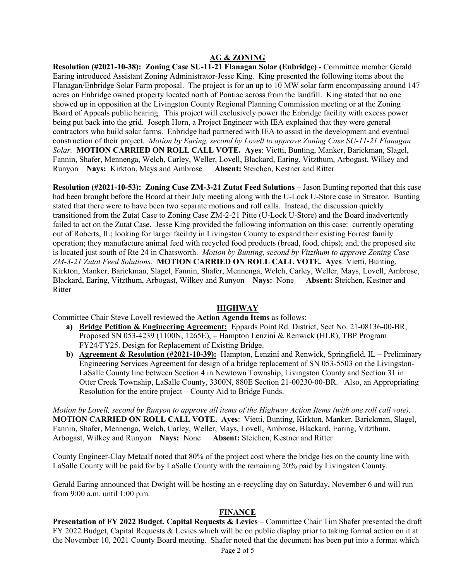# **AG & ZONING**

**Resolution (#2021-10-38): Zoning Case SU-11-21 Flanagan Solar (Enbridge)** - Committee member Gerald Earing introduced Assistant Zoning Administrator-Jesse King. King presented the following items about the Flanagan/Enbridge Solar Farm proposal. The project is for an up to 10 MW solar farm encompassing around 147 acres on Enbridge owned property located north of Pontiac across from the landfill. King stated that no one showed up in opposition at the Livingston County Regional Planning Commission meeting or at the Zoning Board of Appeals public hearing. This project will exclusively power the Enbridge facility with excess power being put back into the grid. Joseph Horn, a Project Engineer with IEA explained that they were general contractors who build solar farms. Enbridge had partnered with IEA to assist in the development and eventual construction of their project. *Motion by Earing, second by Lovell to approve Zoning Case SU-11-21 Flanagan Solar.* **MOTION CARRIED ON ROLL CALL VOTE. Ayes**: Vietti, Bunting, Manker, Barickman, Slagel, Fannin, Shafer, Mennenga, Welch, Carley, Weller, Lovell, Blackard, Earing, Vitzthum, Arbogast, Wilkey and Runyon **Nays:** Kirkton, Mays and Ambrose **Absent:** Steichen, Kestner and Ritter

**Resolution (#2021-10-53): Zoning Case ZM-3-21 Zutat Feed Solutions** – Jason Bunting reported that this case had been brought before the Board at their July meeting along with the U-Lock U-Store case in Streator. Bunting stated that there were to have been two separate motions and roll calls. Instead, the discussion quickly transitioned from the Zutat Case to Zoning Case ZM-2-21 Pitte (U-Lock U-Store) and the Board inadvertently failed to act on the Zutat Case. Jesse King provided the following information on this case: currently operating out of Roberts, IL; looking for larger facility in Livingston County to expand their existing Forrest family operation; they manufacture animal feed with recycled food products (bread, food, chips); and, the proposed site is located just south of Rte 24 in Chatsworth. *Motion by Bunting, second by Vitzthum to approve Zoning Case ZM-3-21 Zutat Feed Solutions.* **MOTION CARRIED ON ROLL CALL VOTE. Ayes**: Vietti, Bunting, Kirkton, Manker, Barickman, Slagel, Fannin, Shafer, Mennenga, Welch, Carley, Weller, Mays, Lovell, Ambrose, Blackard, Earing, Vitzthum, Arbogast, Wilkey and Runyon **Nays:** None **Absent:** Steichen, Kestner and Ritter

### **HIGHWAY**

Committee Chair Steve Lovell reviewed the **Action Agenda Items** as follows:

- **a) Bridge Petition & Engineering Agreement:** Eppards Point Rd. District, Sect No. 21-08136-00-BR, Proposed SN 053-4239 (1100N, 1265E), – Hampton Lenzini & Renwick (HLR), TBP Program FY24/FY25. Design for Replacement of Existing Bridge.
- **b) Agreement & Resolution (#2021-10-39):** Hampton, Lenzini and Renwick, Springfield, IL Preliminary Engineering Services Agreement for design of a bridge replacement of SN 053-5503 on the Livingston-LaSalle County line between Section 4 in Newtown Township, Livingston County and Section 31 in Otter Creek Township, LaSalle County, 3300N, 880E Section 21-00230-00-BR. Also, an Appropriating Resolution for the entire project – County Aid to Bridge Funds.

*Motion by Lovell, second by Runyon to approve all items of the Highway Action Items (with one roll call vote).* **MOTION CARRIED ON ROLL CALL VOTE. Ayes**: Vietti, Bunting, Kirkton, Manker, Barickman, Slagel, Fannin, Shafer, Mennenga, Welch, Carley, Weller, Mays, Lovell, Ambrose, Blackard, Earing, Vitzthum, Arbogast, Wilkey and Runyon **Nays:** None **Absent:** Steichen, Kestner and Ritter

County Engineer-Clay Metcalf noted that 80% of the project cost where the bridge lies on the county line with LaSalle County will be paid for by LaSalle County with the remaining 20% paid by Livingston County.

Gerald Earing announced that Dwight will be hosting an e-recycling day on Saturday, November 6 and will run from 9:00 a.m. until 1:00 p.m.

### **FINANCE**

**Presentation of FY 2022 Budget, Capital Requests & Levies** – Committee Chair Tim Shafer presented the draft FY 2022 Budget, Capital Requests & Levies which will be on public display prior to taking formal action on it at the November 10, 2021 County Board meeting. Shafer noted that the document has been put into a format which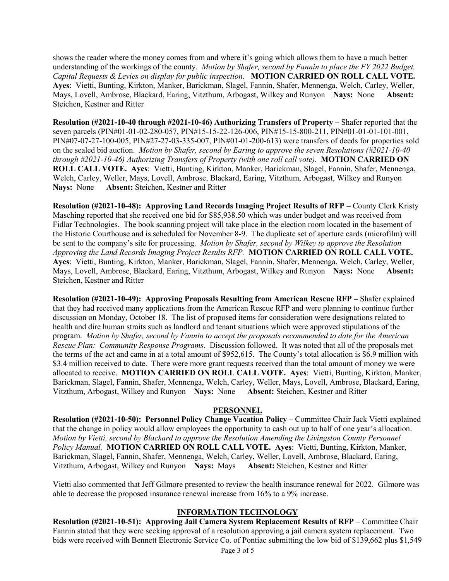shows the reader where the money comes from and where it's going which allows them to have a much better understanding of the workings of the county. *Motion by Shafer, second by Fannin to place the FY 2022 Budget, Capital Requests & Levies on display for public inspection.* **MOTION CARRIED ON ROLL CALL VOTE. Ayes**: Vietti, Bunting, Kirkton, Manker, Barickman, Slagel, Fannin, Shafer, Mennenga, Welch, Carley, Weller, Mays, Lovell, Ambrose, Blackard, Earing, Vitzthum, Arbogast, Wilkey and Runyon **Nays:** None **Absent:** Steichen, Kestner and Ritter

**Resolution (#2021-10-40 through #2021-10-46) Authorizing Transfers of Property –** Shafer reported that the seven parcels (PIN#01-01-02-280-057, PIN#15-15-22-126-006, PIN#15-15-800-211, PIN#01-01-01-101-001, PIN#07-07-27-100-005, PIN#27-27-03-335-007, PIN#01-01-200-613) were transfers of deeds for properties sold on the sealed bid auction. *Motion by Shafer, second by Earing to approve the seven Resolutions (#2021-10-40 through #2021-10-46) Authorizing Transfers of Property (with one roll call vote).* **MOTION CARRIED ON ROLL CALL VOTE. Ayes**: Vietti, Bunting, Kirkton, Manker, Barickman, Slagel, Fannin, Shafer, Mennenga, Welch, Carley, Weller, Mays, Lovell, Ambrose, Blackard, Earing, Vitzthum, Arbogast, Wilkey and Runyon **Nays:** None **Absent:** Steichen, Kestner and Ritter

**Resolution (#2021-10-48): Approving Land Records Imaging Project Results of RFP –** County Clerk Kristy Masching reported that she received one bid for \$85,938.50 which was under budget and was received from Fidlar Technologies. The book scanning project will take place in the election room located in the basement of the Historic Courthouse and is scheduled for November 8-9. The duplicate set of aperture cards (microfilm) will be sent to the company's site for processing. *Motion by Shafer, second by Wilkey to approve the Resolution Approving the Land Records Imaging Project Results RFP.* **MOTION CARRIED ON ROLL CALL VOTE. Ayes**: Vietti, Bunting, Kirkton, Manker, Barickman, Slagel, Fannin, Shafer, Mennenga, Welch, Carley, Weller, Mays, Lovell, Ambrose, Blackard, Earing, Vitzthum, Arbogast, Wilkey and Runyon **Nays:** None **Absent:** Steichen, Kestner and Ritter

**Resolution (#2021-10-49): Approving Proposals Resulting from American Rescue RFP –** Shafer explained that they had received many applications from the American Rescue RFP and were planning to continue further discussion on Monday, October 18. The list of proposed items for consideration were designations related to health and dire human straits such as landlord and tenant situations which were approved stipulations of the program. *Motion by Shafer, second by Fannin to accept the proposals recommended to date for the American Rescue Plan: Community Response Programs*. Discussion followed. It was noted that all of the proposals met the terms of the act and came in at a total amount of \$952,615. The County's total allocation is \$6.9 million with \$3.4 million received to date. There were more grant requests received than the total amount of money we were allocated to receive. **MOTION CARRIED ON ROLL CALL VOTE. Ayes**: Vietti, Bunting, Kirkton, Manker, Barickman, Slagel, Fannin, Shafer, Mennenga, Welch, Carley, Weller, Mays, Lovell, Ambrose, Blackard, Earing, Vitzthum, Arbogast, Wilkey and Runyon **Nays:** None **Absent:** Steichen, Kestner and Ritter

### **PERSONNEL**

**Resolution (#2021-10-50): Personnel Policy Change Vacation Policy** – Committee Chair Jack Vietti explained that the change in policy would allow employees the opportunity to cash out up to half of one year's allocation. *Motion by Vietti, second by Blackard to approve the Resolution Amending the Livingston County Personnel Policy Manual.* **MOTION CARRIED ON ROLL CALL VOTE. Ayes**: Vietti, Bunting, Kirkton, Manker, Barickman, Slagel, Fannin, Shafer, Mennenga, Welch, Carley, Weller, Lovell, Ambrose, Blackard, Earing, Vitzthum, Arbogast, Wilkey and Runyon **Nays:** Mays **Absent:** Steichen, Kestner and Ritter

Vietti also commented that Jeff Gilmore presented to review the health insurance renewal for 2022. Gilmore was able to decrease the proposed insurance renewal increase from 16% to a 9% increase.

# **INFORMATION TECHNOLOGY**

**Resolution (#2021-10-51): Approving Jail Camera System Replacement Results of RFP** – Committee Chair Fannin stated that they were seeking approval of a resolution approving a jail camera system replacement. Two bids were received with Bennett Electronic Service Co. of Pontiac submitting the low bid of \$139,662 plus \$1,549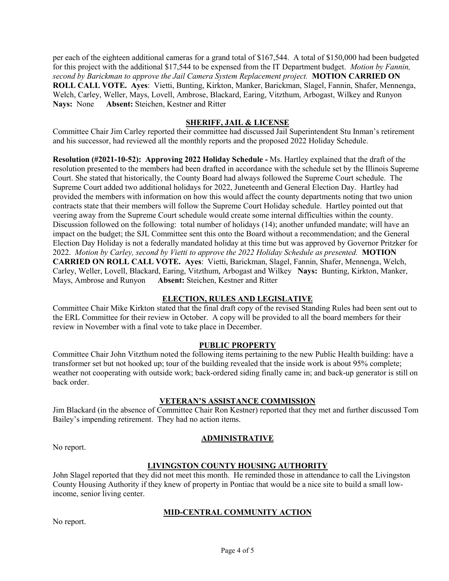per each of the eighteen additional cameras for a grand total of \$167,544. A total of \$150,000 had been budgeted for this project with the additional \$17,544 to be expensed from the IT Department budget. *Motion by Fannin, second by Barickman to approve the Jail Camera System Replacement project.* **MOTION CARRIED ON ROLL CALL VOTE. Ayes**: Vietti, Bunting, Kirkton, Manker, Barickman, Slagel, Fannin, Shafer, Mennenga, Welch, Carley, Weller, Mays, Lovell, Ambrose, Blackard, Earing, Vitzthum, Arbogast, Wilkey and Runyon **Nays:** None **Absent:** Steichen, Kestner and Ritter

### **SHERIFF, JAIL & LICENSE**

Committee Chair Jim Carley reported their committee had discussed Jail Superintendent Stu Inman's retirement and his successor, had reviewed all the monthly reports and the proposed 2022 Holiday Schedule.

**Resolution (#2021-10-52): Approving 2022 Holiday Schedule -** Ms. Hartley explained that the draft of the resolution presented to the members had been drafted in accordance with the schedule set by the Illinois Supreme Court. She stated that historically, the County Board had always followed the Supreme Court schedule. The Supreme Court added two additional holidays for 2022, Juneteenth and General Election Day. Hartley had provided the members with information on how this would affect the county departments noting that two union contracts state that their members will follow the Supreme Court Holiday schedule. Hartley pointed out that veering away from the Supreme Court schedule would create some internal difficulties within the county. Discussion followed on the following: total number of holidays (14); another unfunded mandate; will have an impact on the budget; the SJL Committee sent this onto the Board without a recommendation; and the General Election Day Holiday is not a federally mandated holiday at this time but was approved by Governor Pritzker for 2022. *Motion by Carley, second by Vietti to approve the 2022 Holiday Schedule as presented.* **MOTION CARRIED ON ROLL CALL VOTE. Ayes**: Vietti, Barickman, Slagel, Fannin, Shafer, Mennenga, Welch, Carley, Weller, Lovell, Blackard, Earing, Vitzthum, Arbogast and Wilkey **Nays:** Bunting, Kirkton, Manker, Mays, Ambrose and Runyon **Absent:** Steichen, Kestner and Ritter

### **ELECTION, RULES AND LEGISLATIVE**

Committee Chair Mike Kirkton stated that the final draft copy of the revised Standing Rules had been sent out to the ERL Committee for their review in October. A copy will be provided to all the board members for their review in November with a final vote to take place in December.

### **PUBLIC PROPERTY**

Committee Chair John Vitzthum noted the following items pertaining to the new Public Health building: have a transformer set but not hooked up; tour of the building revealed that the inside work is about 95% complete; weather not cooperating with outside work; back-ordered siding finally came in; and back-up generator is still on back order.

### **VETERAN'S ASSISTANCE COMMISSION**

Jim Blackard (in the absence of Committee Chair Ron Kestner) reported that they met and further discussed Tom Bailey's impending retirement. They had no action items.

# **ADMINISTRATIVE**

No report.

### **LIVINGSTON COUNTY HOUSING AUTHORITY**

John Slagel reported that they did not meet this month. He reminded those in attendance to call the Livingston County Housing Authority if they knew of property in Pontiac that would be a nice site to build a small lowincome, senior living center.

# **MID-CENTRAL COMMUNITY ACTION**

No report.